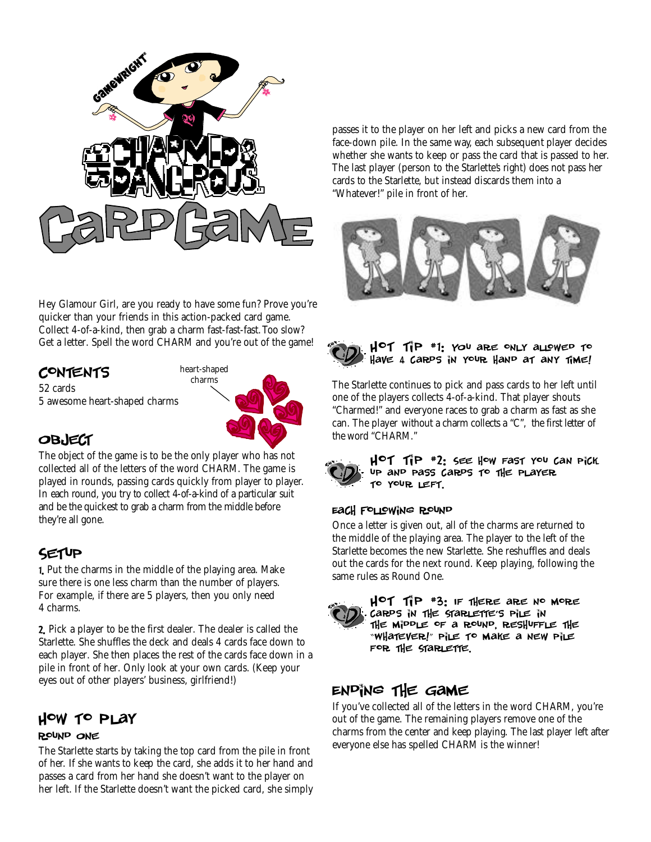

Hey Glamour Girl, are you ready to have some fun? Prove you're quicker than your friends in this action-packed card game. Collect 4-of-a-kind, then grab a charm *fast-fast-fast.*Too slow? Get a letter. Spell the word CHARM and you're out of the game!

# **CONTENTS**

52 cards 5 awesome heart-shaped charms



# **OBJECT**

The object of the game is to be the only player who has not collected all of the letters of the word CHARM. The game is played in rounds, passing cards quickly from player to player. In each round, you try to collect 4-of-a-kind of a particular suit and be the quickest to grab a charm from the middle before they're all gone.

# Setup

1. Put the charms in the middle of the playing area. Make sure there is one less charm than the number of players. For example, if there are 5 players, then you only need 4 charms.

2. Pick a player to be the first dealer. The dealer is called the Starlette. She shuffles the deck and deals 4 cards face down to each player. She then places the rest of the cards face down in a pile in front of her. Only look at your own cards. (Keep your eyes out of other players' business, girlfriend!)

# How to Play

### Round One

The Starlette starts by taking the top card from the pile in front of her. If she wants to keep the card, she adds it to her hand and passes a card from her hand she doesn't want to the player on her left. If the Starlette doesn't want the picked card, she simply

passes it to the player on her left and picks a new card from the face-down pile. In the same way, each subsequent player decides whether she wants to keep or pass the card that is passed to her. The last player (person to the Starlette's right) does not pass her cards to the Starlette, but instead discards them into a "Whatever!" pile in front of her.





The Starlette continues to pick and pass cards to her left until one of the players collects 4-of-a-kind. That player shouts "Charmed!" and everyone races to grab a charm as fast as she can. The player without a charm collects a "C", the first letter of the word "CHARM."



 $H^{\circ}$ TIP #2: SEE How Fast you can pick up and pass cards to the player to your left .

## Each Following Round

Once a letter is given out, all of the charms are returned to the middle of the playing area. The player to the left of the Starlette becomes the new Starlette. She reshuffles and deals out the cards for the next round. Keep playing, following the same rules as Round One.



 $H^{\circ}$ T 1  $^*$  P  $^*$  3: IF there are no more cards in the Starlette's pile in the middle of a round, reshuffle the " Whatever!" pile to make a new pile FOR THE STARLETTE.

# Ending the Game

If you've collected all of the letters in the word CHARM, you're out of the game. The remaining players remove one of the charms from the center and keep playing. The last player left after everyone else has spelled CHARM is the winner!